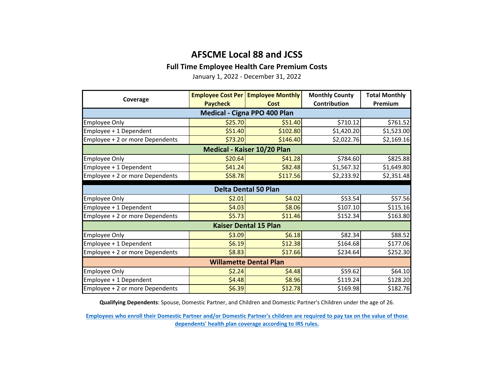## **AFSCME Local 88 and JCSS**

### **Full Time Employee Health Care Premium Costs**

January 1, 2022 - December 31, 2022

| Coverage                        | <b>Paycheck</b> | <b>Employee Cost Per   Employee Monthly</b><br>Cost | <b>Monthly County</b><br>Contribution | <b>Total Monthly</b><br>Premium |  |  |  |
|---------------------------------|-----------------|-----------------------------------------------------|---------------------------------------|---------------------------------|--|--|--|
| Medical - Cigna PPO 400 Plan    |                 |                                                     |                                       |                                 |  |  |  |
| <b>Employee Only</b>            | \$25.70         | \$51.40                                             | \$710.12                              | \$761.52                        |  |  |  |
| Employee + 1 Dependent          | \$51.40         | \$102.80                                            | \$1,420.20                            | \$1,523.00                      |  |  |  |
| Employee + 2 or more Dependents | \$73.20         | \$146.40                                            | \$2,022.76                            | \$2,169.16                      |  |  |  |
| Medical - Kaiser 10/20 Plan     |                 |                                                     |                                       |                                 |  |  |  |
| <b>Employee Only</b>            | \$20.64         | \$41.28                                             | \$784.60                              | \$825.88                        |  |  |  |
| Employee + 1 Dependent          | \$41.24         | \$82.48                                             | \$1,567.32                            | \$1,649.80                      |  |  |  |
| Employee + 2 or more Dependents | \$58.78         | \$117.56                                            | \$2,233.92                            | \$2,351.48                      |  |  |  |
| <b>Delta Dental 50 Plan</b>     |                 |                                                     |                                       |                                 |  |  |  |
| <b>Employee Only</b>            | \$2.01          | \$4.02                                              | \$53.54                               | \$57.56                         |  |  |  |
| Employee + 1 Dependent          | \$4.03          | \$8.06                                              | \$107.10                              | \$115.16                        |  |  |  |
| Employee + 2 or more Dependents | \$5.73          | \$11.46                                             | \$152.34                              | \$163.80                        |  |  |  |
| <b>Kaiser Dental 15 Plan</b>    |                 |                                                     |                                       |                                 |  |  |  |
| <b>Employee Only</b>            | \$3.09          | \$6.18                                              | \$82.34                               | \$88.52                         |  |  |  |
| Employee + 1 Dependent          | \$6.19          | \$12.38                                             | \$164.68                              | \$177.06                        |  |  |  |
| Employee + 2 or more Dependents | \$8.83          | \$17.66                                             | \$234.64                              | \$252.30                        |  |  |  |
| <b>Willamette Dental Plan</b>   |                 |                                                     |                                       |                                 |  |  |  |
| <b>Employee Only</b>            | \$2.24          | \$4.48                                              | \$59.62                               | \$64.10                         |  |  |  |
| Employee + 1 Dependent          | \$4.48          | \$8.96                                              | \$119.24                              | \$128.20                        |  |  |  |
| Employee + 2 or more Dependents | \$6.39          | \$12.78                                             | \$169.98                              | \$182.76                        |  |  |  |

**Qualifying Dependents**: Spouse, Domestic Partner, and Children and Domestic Partner's Children under the age of 26.

**[Employees who enroll their Domestic Partner and/or Domestic Partner's children are r](https://multco.us/benefits/non-irs-eligible-dependents-domestic-partners-and-their-children)equired to pay tax on the value of those [dependents' health plan coverage according to IRS](https://multco.us/benefits/non-irs-eligible-dependents-domestic-partners-and-their-children) rules.**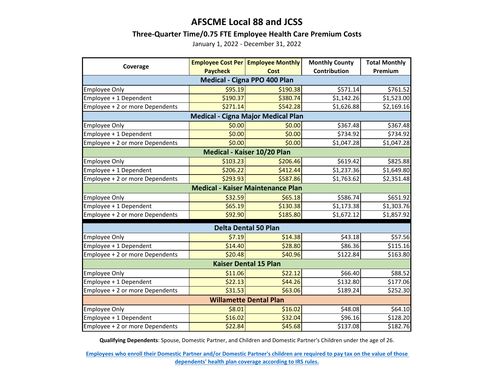## **AFSCME Local 88 and JCSS**

#### **Three-Quarter Time/0.75 FTE Employee Health Care Premium Costs**

January 1, 2022 - December 31, 2022

| Coverage                                  |                 | <b>Employee Cost Per Employee Monthly</b> | <b>Monthly County</b> | <b>Total Monthly</b> |  |  |  |  |
|-------------------------------------------|-----------------|-------------------------------------------|-----------------------|----------------------|--|--|--|--|
|                                           | <b>Paycheck</b> | <b>Cost</b>                               | Contribution          | Premium              |  |  |  |  |
| Medical - Cigna PPO 400 Plan              |                 |                                           |                       |                      |  |  |  |  |
| <b>Employee Only</b>                      | \$95.19         | \$190.38                                  | \$571.14              | \$761.52             |  |  |  |  |
| Employee + 1 Dependent                    | \$190.37        | \$380.74                                  | \$1,142.26            | \$1,523.00           |  |  |  |  |
| Employee + 2 or more Dependents           | \$271.14        | \$542.28                                  | \$1,626.88            | \$2,169.16           |  |  |  |  |
| <b>Medical - Cigna Major Medical Plan</b> |                 |                                           |                       |                      |  |  |  |  |
| <b>Employee Only</b>                      | \$0.00          | \$0.00                                    | \$367.48              | \$367.48             |  |  |  |  |
| Employee + 1 Dependent                    | \$0.00          | \$0.00                                    | \$734.92              | \$734.92             |  |  |  |  |
| Employee + 2 or more Dependents           | \$0.00          | \$0.00                                    | \$1,047.28            | \$1,047.28           |  |  |  |  |
| Medical - Kaiser 10/20 Plan               |                 |                                           |                       |                      |  |  |  |  |
| <b>Employee Only</b>                      | \$103.23        | \$206.46                                  | \$619.42              | \$825.88             |  |  |  |  |
| Employee + 1 Dependent                    | \$206.22        | \$412.44                                  | \$1,237.36            | \$1,649.80           |  |  |  |  |
| Employee + 2 or more Dependents           | \$293.93        | \$587.86                                  | \$1,763.62            | \$2,351.48           |  |  |  |  |
| <b>Medical - Kaiser Maintenance Plan</b>  |                 |                                           |                       |                      |  |  |  |  |
| <b>Employee Only</b>                      | \$32.59         | \$65.18                                   | \$586.74              | \$651.92             |  |  |  |  |
| Employee + 1 Dependent                    | \$65.19         | \$130.38                                  | \$1,173.38            | \$1,303.76           |  |  |  |  |
| Employee + 2 or more Dependents           | \$92.90         | \$185.80                                  | \$1,672.12            | \$1,857.92           |  |  |  |  |
| <b>Delta Dental 50 Plan</b>               |                 |                                           |                       |                      |  |  |  |  |
| <b>Employee Only</b>                      | \$7.19          | \$14.38                                   | \$43.18               | \$57.56              |  |  |  |  |
| Employee + 1 Dependent                    | \$14.40         | \$28.80                                   | \$86.36               | \$115.16             |  |  |  |  |
| Employee + 2 or more Dependents           | \$20.48         | \$40.96                                   | \$122.84              | \$163.80             |  |  |  |  |
| <b>Kaiser Dental 15 Plan</b>              |                 |                                           |                       |                      |  |  |  |  |
| <b>Employee Only</b>                      | \$11.06         | \$22.12                                   | \$66.40               | \$88.52              |  |  |  |  |
| Employee + 1 Dependent                    | \$22.13         | \$44.26                                   | \$132.80              | \$177.06             |  |  |  |  |
| Employee + 2 or more Dependents           | \$31.53         | \$63.06                                   | \$189.24              | \$252.30             |  |  |  |  |
| <b>Willamette Dental Plan</b>             |                 |                                           |                       |                      |  |  |  |  |
| <b>Employee Only</b>                      | \$8.01          | \$16.02                                   | \$48.08               | \$64.10              |  |  |  |  |
| Employee + 1 Dependent                    | \$16.02         | \$32.04                                   | \$96.16               | \$128.20             |  |  |  |  |
| Employee + 2 or more Dependents           | \$22.84         | \$45.68                                   | \$137.08              | \$182.76             |  |  |  |  |

**Qualifying Dependents**: Spouse, Domestic Partner, and Children and Domestic Partner's Children under the age of 26.

**[Employees who enroll their Domestic Partner and/or Domestic Partner's children are r](https://multco.us/benefits/non-irs-eligible-dependents-domestic-partners-and-their-children)equired to pay tax on the value of those [dependents' health plan coverage according to IRS](https://multco.us/benefits/non-irs-eligible-dependents-domestic-partners-and-their-children) rules.**